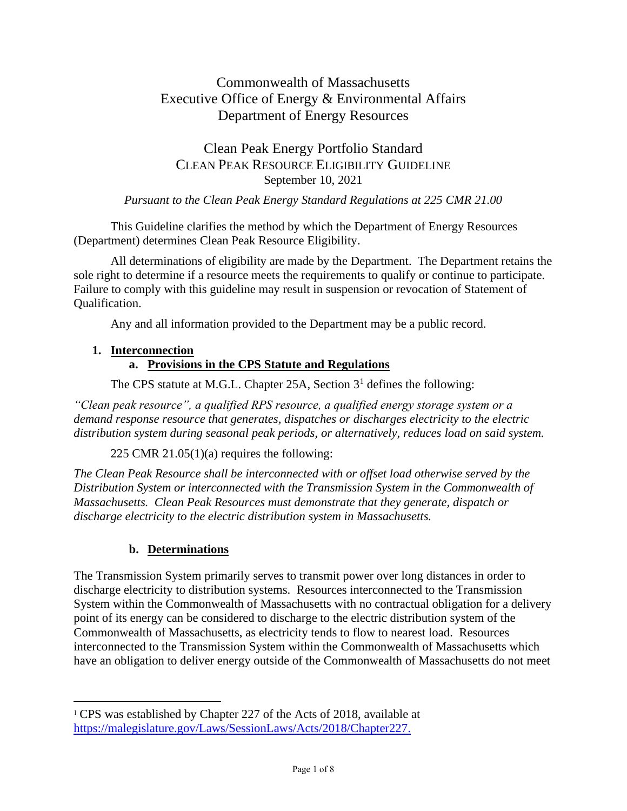# Commonwealth of Massachusetts Executive Office of Energy & Environmental Affairs Department of Energy Resources

# Clean Peak Energy Portfolio Standard CLEAN PEAK RESOURCE ELIGIBILITY GUIDELINE September 10, 2021

#### *Pursuant to the Clean Peak Energy Standard Regulations at 225 CMR 21.00*

This Guideline clarifies the method by which the Department of Energy Resources (Department) determines Clean Peak Resource Eligibility.

All determinations of eligibility are made by the Department. The Department retains the sole right to determine if a resource meets the requirements to qualify or continue to participate. Failure to comply with this guideline may result in suspension or revocation of Statement of Qualification.

Any and all information provided to the Department may be a public record.

#### **1. Interconnection**

### **a. Provisions in the CPS Statute and Regulations**

The CPS statute at M.G.L. Chapter 25A, Section  $3<sup>1</sup>$  defines the following:

*"Clean peak resource", a qualified RPS resource, a qualified energy storage system or a demand response resource that generates, dispatches or discharges electricity to the electric distribution system during seasonal peak periods, or alternatively, reduces load on said system.*

225 CMR 21.05 $(1)(a)$  requires the following:

*The Clean Peak Resource shall be interconnected with or offset load otherwise served by the Distribution System or interconnected with the Transmission System in the Commonwealth of Massachusetts. Clean Peak Resources must demonstrate that they generate, dispatch or discharge electricity to the electric distribution system in Massachusetts.*

## **b. Determinations**

The Transmission System primarily serves to transmit power over long distances in order to discharge electricity to distribution systems. Resources interconnected to the Transmission System within the Commonwealth of Massachusetts with no contractual obligation for a delivery point of its energy can be considered to discharge to the electric distribution system of the Commonwealth of Massachusetts, as electricity tends to flow to nearest load. Resources interconnected to the Transmission System within the Commonwealth of Massachusetts which have an obligation to deliver energy outside of the Commonwealth of Massachusetts do not meet

<sup>&</sup>lt;sup>1</sup> CPS was established by Chapter 227 of the Acts of 2018, available at [https://malegislature.gov/Laws/SessionLaws/Acts/2018/Chapter227.](https://malegislature.gov/Laws/SessionLaws/Acts/2018/Chapter227)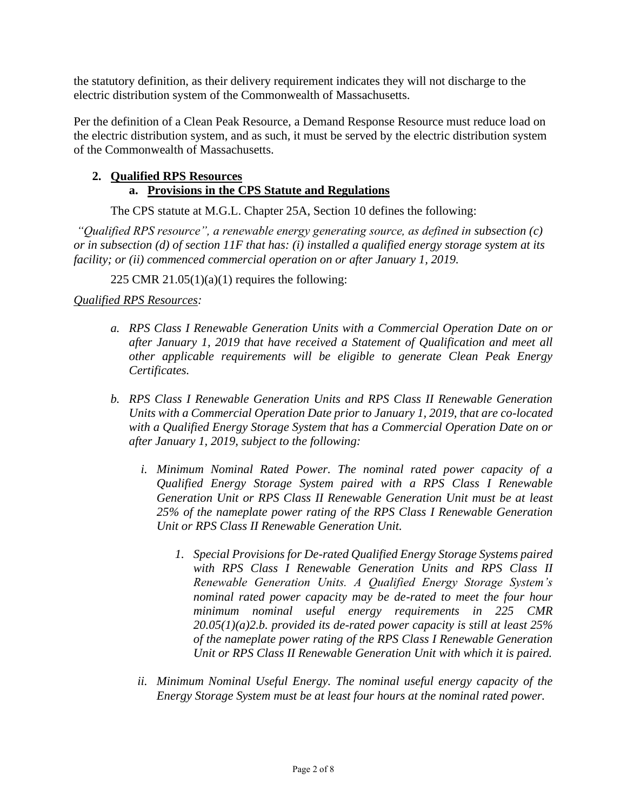the statutory definition, as their delivery requirement indicates they will not discharge to the electric distribution system of the Commonwealth of Massachusetts.

Per the definition of a Clean Peak Resource, a Demand Response Resource must reduce load on the electric distribution system, and as such, it must be served by the electric distribution system of the Commonwealth of Massachusetts.

#### **2. Qualified RPS Resources a. Provisions in the CPS Statute and Regulations**

The CPS statute at M.G.L. Chapter 25A, Section 10 defines the following:

*"Qualified RPS resource", a renewable energy generating source, as defined in subsection (c) or in subsection (d) of section 11F that has: (i) installed a qualified energy storage system at its facility; or (ii) commenced commercial operation on or after January 1, 2019.*

225 CMR  $21.05(1)(a)(1)$  requires the following:

### *Qualified RPS Resources:*

- *a. RPS Class I Renewable Generation Units with a Commercial Operation Date on or after January 1, 2019 that have received a Statement of Qualification and meet all other applicable requirements will be eligible to generate Clean Peak Energy Certificates.*
- *b. RPS Class I Renewable Generation Units and RPS Class II Renewable Generation Units with a Commercial Operation Date prior to January 1, 2019, that are co-located with a Qualified Energy Storage System that has a Commercial Operation Date on or after January 1, 2019, subject to the following:* 
	- *i. Minimum Nominal Rated Power. The nominal rated power capacity of a Qualified Energy Storage System paired with a RPS Class I Renewable Generation Unit or RPS Class II Renewable Generation Unit must be at least 25% of the nameplate power rating of the RPS Class I Renewable Generation Unit or RPS Class II Renewable Generation Unit.*
		- *1. Special Provisions for De-rated Qualified Energy Storage Systems paired with RPS Class I Renewable Generation Units and RPS Class II Renewable Generation Units. A Qualified Energy Storage System's nominal rated power capacity may be de-rated to meet the four hour minimum nominal useful energy requirements in 225 CMR 20.05(1)(a)2.b. provided its de-rated power capacity is still at least 25% of the nameplate power rating of the RPS Class I Renewable Generation Unit or RPS Class II Renewable Generation Unit with which it is paired.*
	- *ii. Minimum Nominal Useful Energy. The nominal useful energy capacity of the Energy Storage System must be at least four hours at the nominal rated power.*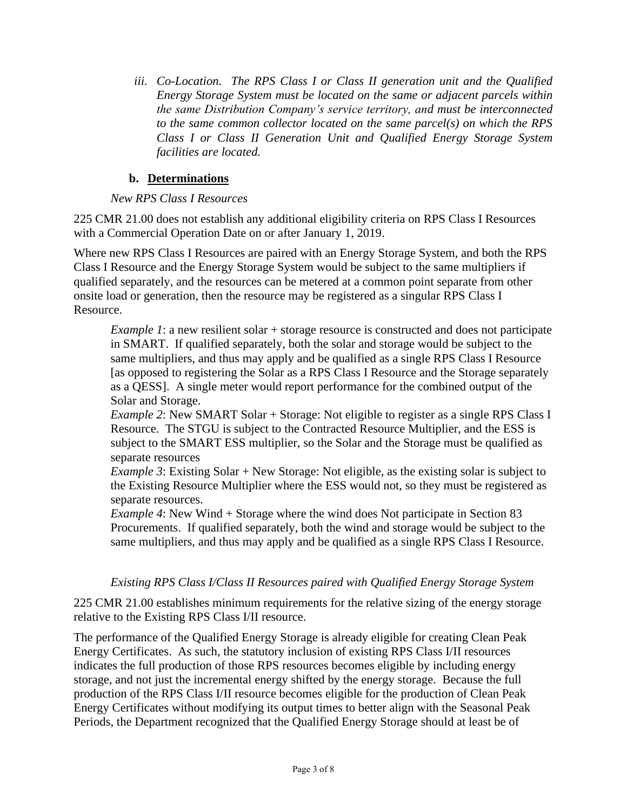*iii. Co-Location. The RPS Class I or Class II generation unit and the Qualified Energy Storage System must be located on the same or adjacent parcels within the same Distribution Company's service territory, and must be interconnected to the same common collector located on the same parcel(s) on which the RPS Class I or Class II Generation Unit and Qualified Energy Storage System facilities are located.* 

### **b. Determinations**

#### *New RPS Class I Resources*

225 CMR 21.00 does not establish any additional eligibility criteria on RPS Class I Resources with a Commercial Operation Date on or after January 1, 2019.

Where new RPS Class I Resources are paired with an Energy Storage System, and both the RPS Class I Resource and the Energy Storage System would be subject to the same multipliers if qualified separately, and the resources can be metered at a common point separate from other onsite load or generation, then the resource may be registered as a singular RPS Class I Resource.

*Example 1*: a new resilient solar + storage resource is constructed and does not participate in SMART. If qualified separately, both the solar and storage would be subject to the same multipliers, and thus may apply and be qualified as a single RPS Class I Resource [as opposed to registering the Solar as a RPS Class I Resource and the Storage separately as a QESS]. A single meter would report performance for the combined output of the Solar and Storage.

*Example 2*: New SMART Solar + Storage: Not eligible to register as a single RPS Class I Resource. The STGU is subject to the Contracted Resource Multiplier, and the ESS is subject to the SMART ESS multiplier, so the Solar and the Storage must be qualified as separate resources

*Example 3*: Existing Solar + New Storage: Not eligible, as the existing solar is subject to the Existing Resource Multiplier where the ESS would not, so they must be registered as separate resources.

*Example 4*: New Wind + Storage where the wind does Not participate in Section 83 Procurements. If qualified separately, both the wind and storage would be subject to the same multipliers, and thus may apply and be qualified as a single RPS Class I Resource.

#### *Existing RPS Class I/Class II Resources paired with Qualified Energy Storage System*

225 CMR 21.00 establishes minimum requirements for the relative sizing of the energy storage relative to the Existing RPS Class I/II resource.

The performance of the Qualified Energy Storage is already eligible for creating Clean Peak Energy Certificates. As such, the statutory inclusion of existing RPS Class I/II resources indicates the full production of those RPS resources becomes eligible by including energy storage, and not just the incremental energy shifted by the energy storage. Because the full production of the RPS Class I/II resource becomes eligible for the production of Clean Peak Energy Certificates without modifying its output times to better align with the Seasonal Peak Periods, the Department recognized that the Qualified Energy Storage should at least be of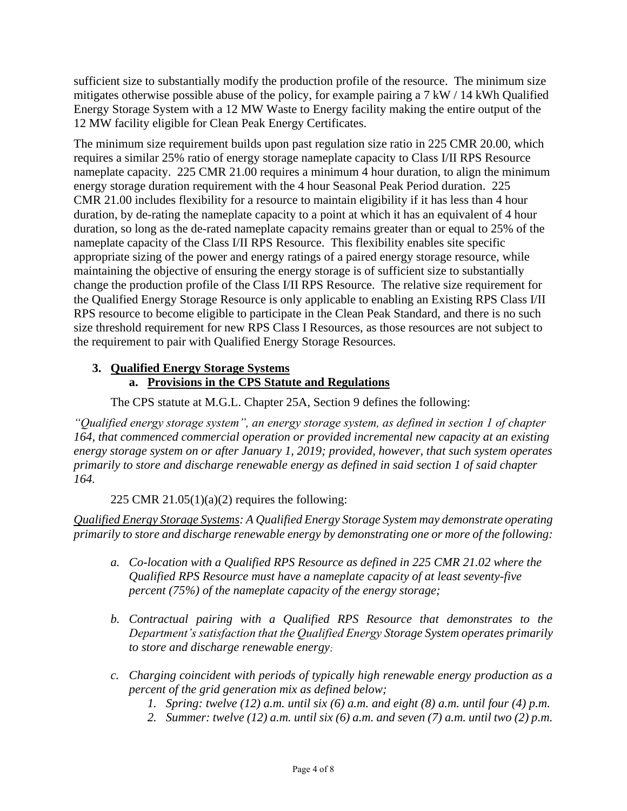sufficient size to substantially modify the production profile of the resource. The minimum size mitigates otherwise possible abuse of the policy, for example pairing a 7 kW / 14 kWh Qualified Energy Storage System with a 12 MW Waste to Energy facility making the entire output of the 12 MW facility eligible for Clean Peak Energy Certificates.

The minimum size requirement builds upon past regulation size ratio in 225 CMR 20.00, which requires a similar 25% ratio of energy storage nameplate capacity to Class I/II RPS Resource nameplate capacity. 225 CMR 21.00 requires a minimum 4 hour duration, to align the minimum energy storage duration requirement with the 4 hour Seasonal Peak Period duration. 225 CMR 21.00 includes flexibility for a resource to maintain eligibility if it has less than 4 hour duration, by de-rating the nameplate capacity to a point at which it has an equivalent of 4 hour duration, so long as the de-rated nameplate capacity remains greater than or equal to 25% of the nameplate capacity of the Class I/II RPS Resource. This flexibility enables site specific appropriate sizing of the power and energy ratings of a paired energy storage resource, while maintaining the objective of ensuring the energy storage is of sufficient size to substantially change the production profile of the Class I/II RPS Resource. The relative size requirement for the Qualified Energy Storage Resource is only applicable to enabling an Existing RPS Class I/II RPS resource to become eligible to participate in the Clean Peak Standard, and there is no such size threshold requirement for new RPS Class I Resources, as those resources are not subject to the requirement to pair with Qualified Energy Storage Resources.

#### **3. Qualified Energy Storage Systems a. Provisions in the CPS Statute and Regulations**

The CPS statute at M.G.L. Chapter 25A, Section 9 defines the following:

*"Qualified energy storage system", an energy storage system, as defined in section 1 of chapter 164, that commenced commercial operation or provided incremental new capacity at an existing energy storage system on or after January 1, 2019; provided, however, that such system operates primarily to store and discharge renewable energy as defined in said section 1 of said chapter 164.*

## 225 CMR 21.05(1)(a)(2) requires the following:

*Qualified Energy Storage Systems: A Qualified Energy Storage System may demonstrate operating primarily to store and discharge renewable energy by demonstrating one or more of the following:* 

- *a. Co-location with a Qualified RPS Resource as defined in 225 CMR 21.02 where the Qualified RPS Resource must have a nameplate capacity of at least seventy-five percent (75%) of the nameplate capacity of the energy storage;*
- *b. Contractual pairing with a Qualified RPS Resource that demonstrates to the Department's satisfaction that the Qualified Energy Storage System operates primarily to store and discharge renewable energy;*
- *c. Charging coincident with periods of typically high renewable energy production as a percent of the grid generation mix as defined below;*
	- *1. Spring: twelve (12) a.m. until six (6) a.m. and eight (8) a.m. until four (4) p.m.*
	- *2. Summer: twelve (12) a.m. until six (6) a.m. and seven (7) a.m. until two (2) p.m.*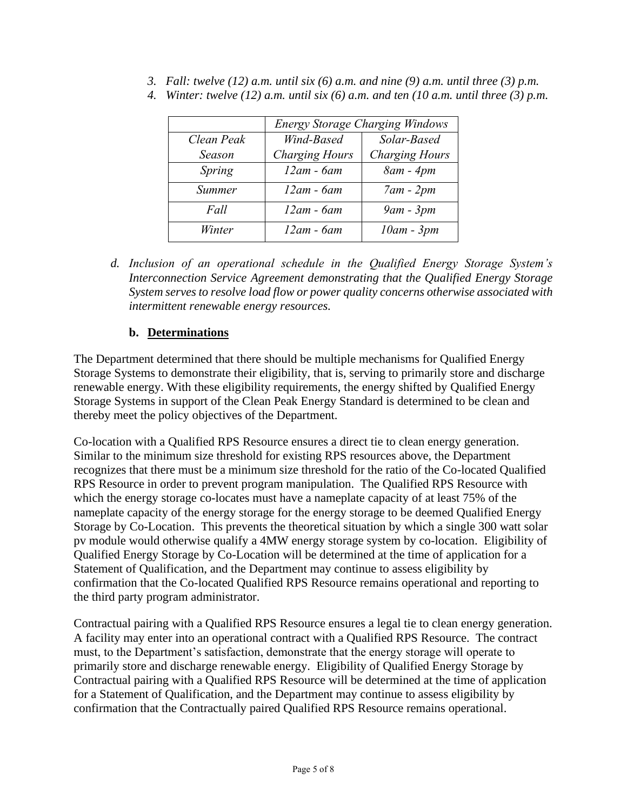*3. Fall: twelve (12) a.m. until six (6) a.m. and nine (9) a.m. until three (3) p.m.*

|               | <b>Energy Storage Charging Windows</b> |                       |
|---------------|----------------------------------------|-----------------------|
| Clean Peak    | Wind-Based                             | Solar-Based           |
| Season        | <b>Charging Hours</b>                  | <b>Charging Hours</b> |
| Spring        | $12am - 6am$                           | $8am - 4pm$           |
| <b>Summer</b> | $12am - 6am$                           | $7am - 2pm$           |
| Fall          | $12am - 6am$                           | $9am - 3pm$           |
| Winter        | $12am - 6am$                           | $10am - 3pm$          |

*4. Winter: twelve (12) a.m. until six (6) a.m. and ten (10 a.m. until three (3) p.m.*

*d. Inclusion of an operational schedule in the Qualified Energy Storage System's Interconnection Service Agreement demonstrating that the Qualified Energy Storage System serves to resolve load flow or power quality concerns otherwise associated with intermittent renewable energy resources.* 

## **b. Determinations**

The Department determined that there should be multiple mechanisms for Qualified Energy Storage Systems to demonstrate their eligibility, that is, serving to primarily store and discharge renewable energy. With these eligibility requirements, the energy shifted by Qualified Energy Storage Systems in support of the Clean Peak Energy Standard is determined to be clean and thereby meet the policy objectives of the Department.

Co-location with a Qualified RPS Resource ensures a direct tie to clean energy generation. Similar to the minimum size threshold for existing RPS resources above, the Department recognizes that there must be a minimum size threshold for the ratio of the Co-located Qualified RPS Resource in order to prevent program manipulation. The Qualified RPS Resource with which the energy storage co-locates must have a nameplate capacity of at least 75% of the nameplate capacity of the energy storage for the energy storage to be deemed Qualified Energy Storage by Co-Location. This prevents the theoretical situation by which a single 300 watt solar pv module would otherwise qualify a 4MW energy storage system by co-location. Eligibility of Qualified Energy Storage by Co-Location will be determined at the time of application for a Statement of Qualification, and the Department may continue to assess eligibility by confirmation that the Co-located Qualified RPS Resource remains operational and reporting to the third party program administrator.

Contractual pairing with a Qualified RPS Resource ensures a legal tie to clean energy generation. A facility may enter into an operational contract with a Qualified RPS Resource. The contract must, to the Department's satisfaction, demonstrate that the energy storage will operate to primarily store and discharge renewable energy. Eligibility of Qualified Energy Storage by Contractual pairing with a Qualified RPS Resource will be determined at the time of application for a Statement of Qualification, and the Department may continue to assess eligibility by confirmation that the Contractually paired Qualified RPS Resource remains operational.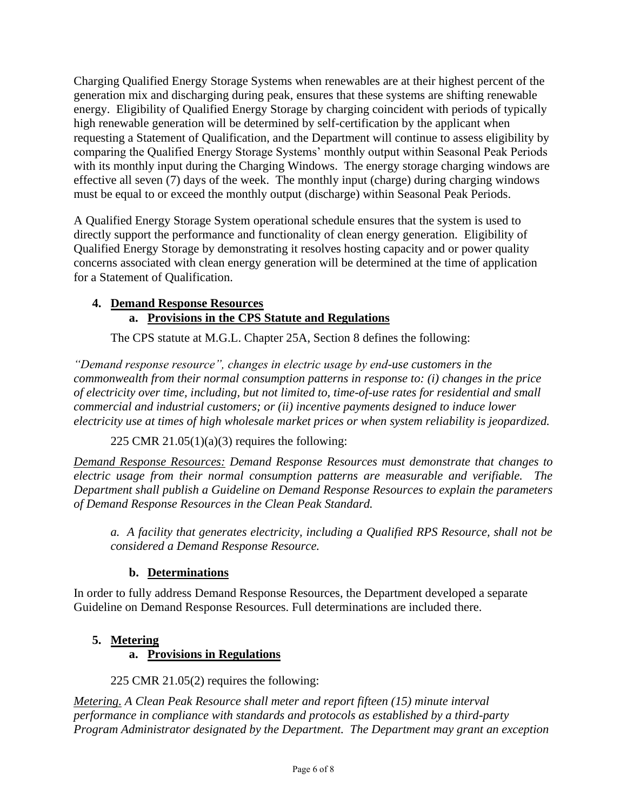Charging Qualified Energy Storage Systems when renewables are at their highest percent of the generation mix and discharging during peak, ensures that these systems are shifting renewable energy. Eligibility of Qualified Energy Storage by charging coincident with periods of typically high renewable generation will be determined by self-certification by the applicant when requesting a Statement of Qualification, and the Department will continue to assess eligibility by comparing the Qualified Energy Storage Systems' monthly output within Seasonal Peak Periods with its monthly input during the Charging Windows. The energy storage charging windows are effective all seven (7) days of the week. The monthly input (charge) during charging windows must be equal to or exceed the monthly output (discharge) within Seasonal Peak Periods.

A Qualified Energy Storage System operational schedule ensures that the system is used to directly support the performance and functionality of clean energy generation. Eligibility of Qualified Energy Storage by demonstrating it resolves hosting capacity and or power quality concerns associated with clean energy generation will be determined at the time of application for a Statement of Qualification.

#### **4. Demand Response Resources a. Provisions in the CPS Statute and Regulations**

The CPS statute at M.G.L. Chapter 25A, Section 8 defines the following:

*"Demand response resource", changes in electric usage by end-use customers in the commonwealth from their normal consumption patterns in response to: (i) changes in the price of electricity over time, including, but not limited to, time-of-use rates for residential and small commercial and industrial customers; or (ii) incentive payments designed to induce lower electricity use at times of high wholesale market prices or when system reliability is jeopardized.*

225 CMR  $21.05(1)(a)(3)$  requires the following:

*Demand Response Resources: Demand Response Resources must demonstrate that changes to electric usage from their normal consumption patterns are measurable and verifiable. The Department shall publish a Guideline on Demand Response Resources to explain the parameters of Demand Response Resources in the Clean Peak Standard.*

*a. A facility that generates electricity, including a Qualified RPS Resource, shall not be considered a Demand Response Resource.*

# **b. Determinations**

In order to fully address Demand Response Resources, the Department developed a separate Guideline on Demand Response Resources. Full determinations are included there.

# **5. Metering**

# **a. Provisions in Regulations**

225 CMR 21.05(2) requires the following:

*Metering. A Clean Peak Resource shall meter and report fifteen (15) minute interval performance in compliance with standards and protocols as established by a third-party Program Administrator designated by the Department. The Department may grant an exception*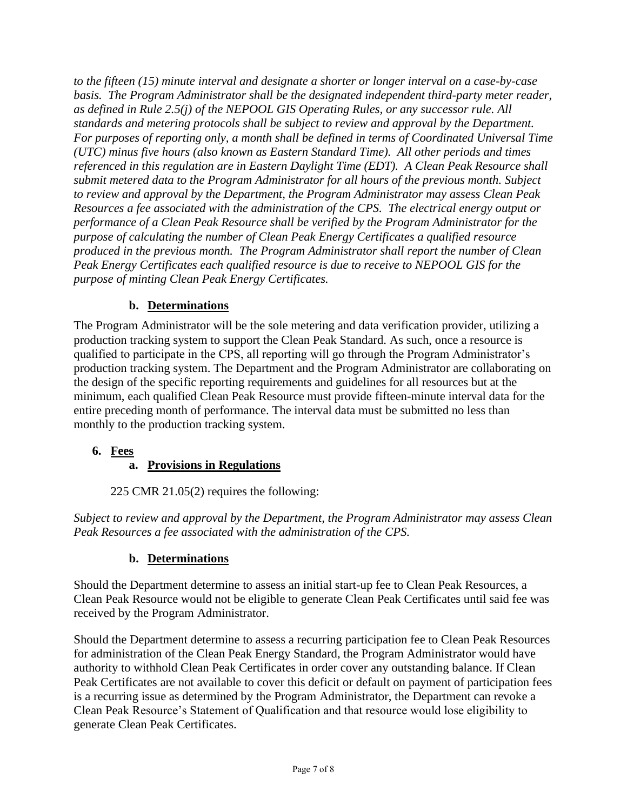*to the fifteen (15) minute interval and designate a shorter or longer interval on a case-by-case basis. The Program Administrator shall be the designated independent third-party meter reader, as defined in Rule 2.5(j) of the NEPOOL GIS Operating Rules, or any successor rule. All standards and metering protocols shall be subject to review and approval by the Department. For purposes of reporting only, a month shall be defined in terms of Coordinated Universal Time (UTC) minus five hours (also known as Eastern Standard Time). All other periods and times referenced in this regulation are in Eastern Daylight Time (EDT). A Clean Peak Resource shall submit metered data to the Program Administrator for all hours of the previous month. Subject to review and approval by the Department, the Program Administrator may assess Clean Peak Resources a fee associated with the administration of the CPS. The electrical energy output or performance of a Clean Peak Resource shall be verified by the Program Administrator for the purpose of calculating the number of Clean Peak Energy Certificates a qualified resource produced in the previous month. The Program Administrator shall report the number of Clean Peak Energy Certificates each qualified resource is due to receive to NEPOOL GIS for the purpose of minting Clean Peak Energy Certificates.*

## **b. Determinations**

The Program Administrator will be the sole metering and data verification provider, utilizing a production tracking system to support the Clean Peak Standard. As such, once a resource is qualified to participate in the CPS, all reporting will go through the Program Administrator's production tracking system. The Department and the Program Administrator are collaborating on the design of the specific reporting requirements and guidelines for all resources but at the minimum, each qualified Clean Peak Resource must provide fifteen-minute interval data for the entire preceding month of performance. The interval data must be submitted no less than monthly to the production tracking system.

## **6. Fees**

## **a. Provisions in Regulations**

225 CMR 21.05(2) requires the following:

*Subject to review and approval by the Department, the Program Administrator may assess Clean Peak Resources a fee associated with the administration of the CPS.* 

## **b. Determinations**

Should the Department determine to assess an initial start-up fee to Clean Peak Resources, a Clean Peak Resource would not be eligible to generate Clean Peak Certificates until said fee was received by the Program Administrator.

Should the Department determine to assess a recurring participation fee to Clean Peak Resources for administration of the Clean Peak Energy Standard, the Program Administrator would have authority to withhold Clean Peak Certificates in order cover any outstanding balance. If Clean Peak Certificates are not available to cover this deficit or default on payment of participation fees is a recurring issue as determined by the Program Administrator, the Department can revoke a Clean Peak Resource's Statement of Qualification and that resource would lose eligibility to generate Clean Peak Certificates.